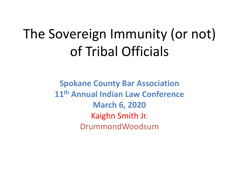# The Sovereign Immunity (or not) of Tribal Officials

**Spokane County Bar Association 11th Annual Indian Law Conference March 6, 2020** Kaighn Smith Jr. DrummondWoodsum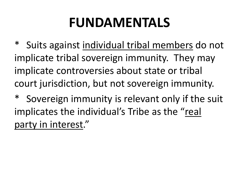## **FUNDAMENTALS**

\* Suits against individual tribal members do not implicate tribal sovereign immunity. They may implicate controversies about state or tribal court jurisdiction, but not sovereign immunity.

\* Sovereign immunity is relevant only if the suit implicates the individual's Tribe as the "real party in interest."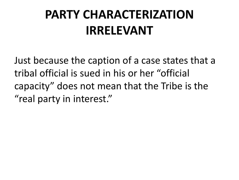#### **PARTY CHARACTERIZATION IRRELEVANT**

Just because the caption of a case states that a tribal official is sued in his or her "official capacity" does not mean that the Tribe is the "real party in interest."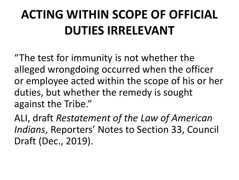## **ACTING WITHIN SCOPE OF OFFICIAL DUTIES IRRELEVANT**

"The test for immunity is not whether the alleged wrongdoing occurred when the officer or employee acted within the scope of his or her duties, but whether the remedy is sought against the Tribe."

ALI, draft *Restatement of the Law of American Indians*, Reporters' Notes to Section 33, Council Draft (Dec., 2019).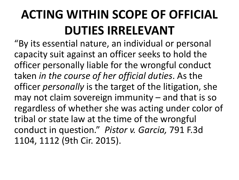## **ACTING WITHIN SCOPE OF OFFICIAL DUTIES IRRELEVANT**

"By its essential nature, an individual or personal capacity suit against an officer seeks to hold the officer personally liable for the wrongful conduct taken *in the course of her official duties*. As the officer *personally* is the target of the litigation, she may not claim sovereign immunity – and that is so regardless of whether she was acting under color of tribal or state law at the time of the wrongful conduct in question." *Pistor v. Garcia,* 791 F.3d 1104, 1112 (9th Cir. 2015).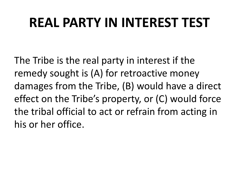### **REAL PARTY IN INTEREST TEST**

The Tribe is the real party in interest if the remedy sought is (A) for retroactive money damages from the Tribe, (B) would have a direct effect on the Tribe's property, or (C) would force the tribal official to act or refrain from acting in his or her office.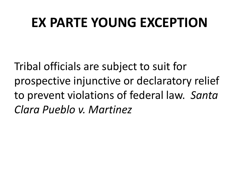#### **EX PARTE YOUNG EXCEPTION**

Tribal officials are subject to suit for prospective injunctive or declaratory relief to prevent violations of federal law. *Santa Clara Pueblo v. Martinez*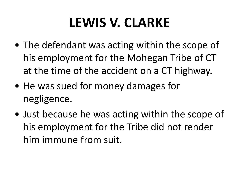## **LEWIS V. CLARKE**

- The defendant was acting within the scope of his employment for the Mohegan Tribe of CT at the time of the accident on a CT highway.
- He was sued for money damages for negligence.
- Just because he was acting within the scope of his employment for the Tribe did not render him immune from suit.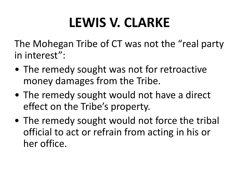# **LEWIS V. CLARKE**

The Mohegan Tribe of CT was not the "real party in interest":

- The remedy sought was not for retroactive money damages from the Tribe.
- The remedy sought would not have a direct effect on the Tribe's property.
- The remedy sought would not force the tribal official to act or refrain from acting in his or her office.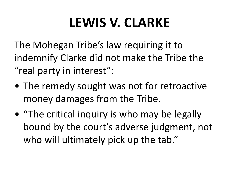## **LEWIS V. CLARKE**

The Mohegan Tribe's law requiring it to indemnify Clarke did not make the Tribe the "real party in interest":

- The remedy sought was not for retroactive money damages from the Tribe.
- "The critical inquiry is who may be legally bound by the court's adverse judgment, not who will ultimately pick up the tab."